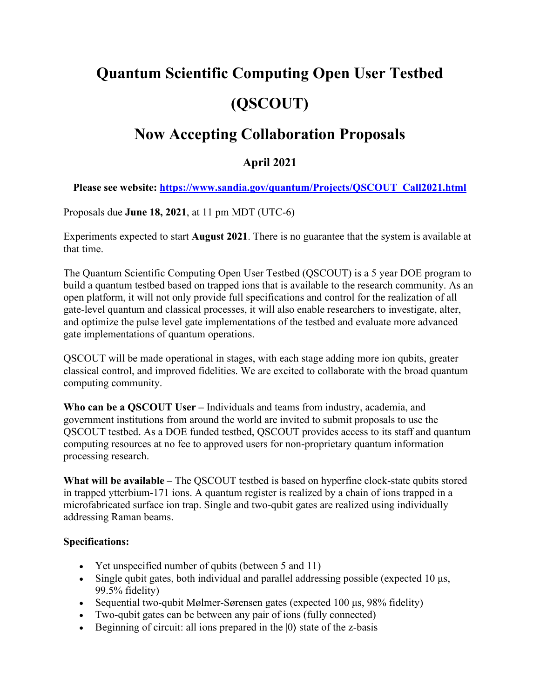# **Quantum Scientific Computing Open User Testbed (QSCOUT)**

# **Now Accepting Collaboration Proposals**

## **April 2021**

**Please see website: [https://www.sandia.gov/quantum/Projects/QSCOUT\\_Call2021.html](https://www.sandia.gov/quantum/Projects/QSCOUT_Call2021.html)**

Proposals due **June 18, 2021**, at 11 pm MDT (UTC-6)

Experiments expected to start **August 2021**. There is no guarantee that the system is available at that time.

The Quantum Scientific Computing Open User Testbed (QSCOUT) is a 5 year DOE program to build a quantum testbed based on trapped ions that is available to the research community. As an open platform, it will not only provide full specifications and control for the realization of all gate-level quantum and classical processes, it will also enable researchers to investigate, alter, and optimize the pulse level gate implementations of the testbed and evaluate more advanced gate implementations of quantum operations.

QSCOUT will be made operational in stages, with each stage adding more ion qubits, greater classical control, and improved fidelities. We are excited to collaborate with the broad quantum computing community.

**Who can be a QSCOUT User –** Individuals and teams from industry, academia, and government institutions from around the world are invited to submit proposals to use the QSCOUT testbed. As a DOE funded testbed, QSCOUT provides access to its staff and quantum computing resources at no fee to approved users for non-proprietary quantum information processing research.

**What will be available** – The QSCOUT testbed is based on hyperfine clock-state qubits stored in trapped ytterbium-171 ions. A quantum register is realized by a chain of ions trapped in a microfabricated surface ion trap. Single and two-qubit gates are realized using individually addressing Raman beams.

#### **Specifications:**

- Yet unspecified number of qubits (between 5 and 11)
- Single qubit gates, both individual and parallel addressing possible (expected 10 μs, 99.5% fidelity)
- Sequential two-qubit Mølmer-Sørensen gates (expected 100 μs, 98% fidelity)
- Two-qubit gates can be between any pair of ions (fully connected)
- Beginning of circuit: all ions prepared in the  $|0\rangle$  state of the z-basis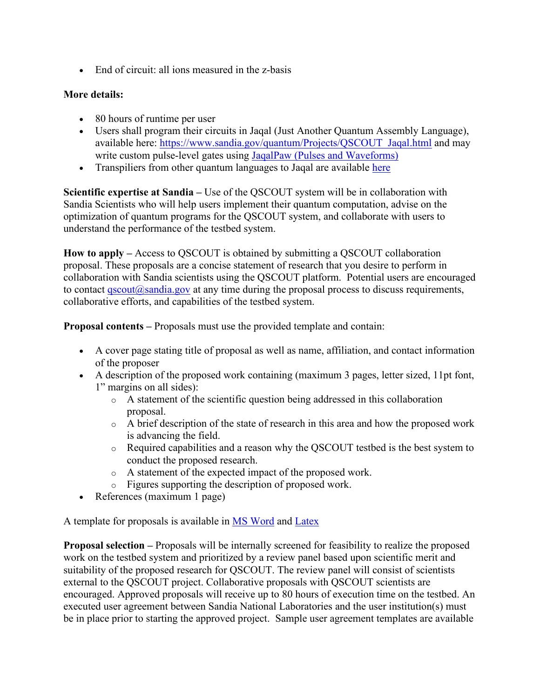• End of circuit: all ions measured in the z-basis

### **More details:**

- 80 hours of runtime per user
- Users shall program their circuits in [Jaqal \(Just Another Quantum Assembly Language\),](https://www.sandia.gov/quantum/Projects/QSCOUT_Jaqal) available here: [https://www.sandia.gov/quantum/Projects/QSCOUT\\_Jaqal.html](https://www.sandia.gov/quantum/Projects/QSCOUT_Jaqal.html) and may write custom pulse-level gates using [JaqalPaw \(Pulses and Waveforms\)](https://www.sandia.gov/quantum/Projects/Uploads/JaqalPaw__A_Guide_to_Defining_Pulses_and_Waveforms_for_Jaqal.pdf)
- Transpiliers from other quantum languages to Jaqal are available [here](https://gitlab.com/jaqal/jaqalpaq)

**Scientific expertise at Sandia –** Use of the QSCOUT system will be in collaboration with Sandia Scientists who will help users implement their quantum computation, advise on the optimization of quantum programs for the QSCOUT system, and collaborate with users to understand the performance of the testbed system.

**How to apply –** Access to QSCOUT is obtained by submitting a QSCOUT collaboration proposal. These proposals are a concise statement of research that you desire to perform in collaboration with Sandia scientists using the QSCOUT platform. Potential users are encouraged to contact  $qscout(\omega)$  sandia.gov at any time during the proposal process to discuss requirements, collaborative efforts, and capabilities of the testbed system.

**Proposal contents –** Proposals must use the provided template and contain:

- A cover page stating title of proposal as well as name, affiliation, and contact information of the proposer
- A description of the proposed work containing (maximum 3 pages, letter sized, 11pt font, 1" margins on all sides):
	- $\circ$  A statement of the scientific question being addressed in this collaboration proposal.
	- o A brief description of the state of research in this area and how the proposed work is advancing the field.
	- o Required capabilities and a reason why the QSCOUT testbed is the best system to conduct the proposed research.
	- o A statement of the expected impact of the proposed work.
	- o Figures supporting the description of proposed work.
- References (maximum 1 page)

A template for proposals is available in [MS Word](https://www.sandia.gov/quantum/Projects/Uploads/QSCOUTProposalTemplate_Word.docx) and [Latex](https://www.sandia.gov/quantum/Projects/Uploads/QSCOUTProposalTemplate_Latex.zip)

**Proposal selection –** Proposals will be internally screened for feasibility to realize the proposed work on the testbed system and prioritized by a review panel based upon scientific merit and suitability of the proposed research for QSCOUT. The review panel will consist of scientists external to the QSCOUT project. Collaborative proposals with QSCOUT scientists are encouraged. Approved proposals will receive up to 80 hours of execution time on the testbed. An executed user agreement between Sandia National Laboratories and the user institution(s) must be in place prior to starting the approved project. Sample user agreement templates are available